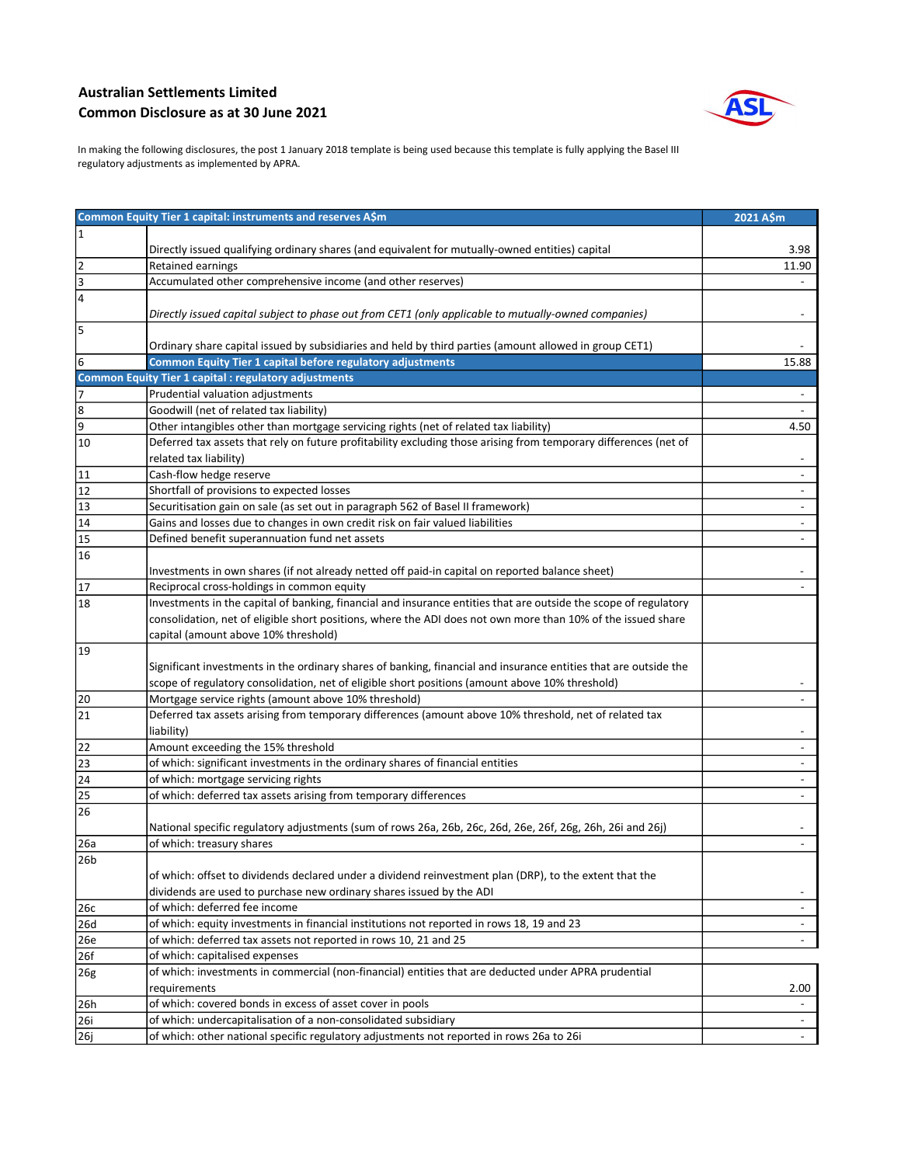## Australian Settlements Limited Common Disclosure as at 30 June 2021



In making the following disclosures, the post 1 January 2018 template is being used because this template is fully applying the Basel III regulatory adjustments as implemented by APRA.

| Common Equity Tier 1 capital: instruments and reserves A\$m<br>2021 A\$m<br>$\overline{1}$<br>Directly issued qualifying ordinary shares (and equivalent for mutually-owned entities) capital<br>3.98<br>2<br>Retained earnings<br>11.90<br>3<br>Accumulated other comprehensive income (and other reserves)<br>$\overline{4}$<br>Directly issued capital subject to phase out from CET1 (only applicable to mutually-owned companies)<br>5<br>Ordinary share capital issued by subsidiaries and held by third parties (amount allowed in group CET1)<br>6<br><b>Common Equity Tier 1 capital before regulatory adjustments</b><br>15.88<br><b>Common Equity Tier 1 capital : regulatory adjustments</b><br>Prudential valuation adjustments<br>7<br>8<br>Goodwill (net of related tax liability)<br>9<br>Other intangibles other than mortgage servicing rights (net of related tax liability)<br>4.50<br>Deferred tax assets that rely on future profitability excluding those arising from temporary differences (net of<br>10<br>related tax liability)<br>11<br>Cash-flow hedge reserve<br>12<br>Shortfall of provisions to expected losses<br>$\overline{a}$<br>13<br>Securitisation gain on sale (as set out in paragraph 562 of Basel II framework)<br>14<br>Gains and losses due to changes in own credit risk on fair valued liabilities<br>$\sqrt{15}$<br>Defined benefit superannuation fund net assets<br>16<br>Investments in own shares (if not already netted off paid-in capital on reported balance sheet)<br>17<br>Reciprocal cross-holdings in common equity<br>Investments in the capital of banking, financial and insurance entities that are outside the scope of regulatory<br>18<br>consolidation, net of eligible short positions, where the ADI does not own more than 10% of the issued share<br>capital (amount above 10% threshold)<br>19<br>Significant investments in the ordinary shares of banking, financial and insurance entities that are outside the<br>scope of regulatory consolidation, net of eligible short positions (amount above 10% threshold)<br>20<br>Mortgage service rights (amount above 10% threshold)<br>$\overline{21}$<br>Deferred tax assets arising from temporary differences (amount above 10% threshold, net of related tax<br>liability)<br>Amount exceeding the 15% threshold<br>22<br>$\overline{\phantom{a}}$<br>23<br>of which: significant investments in the ordinary shares of financial entities<br>24<br>of which: mortgage servicing rights<br>of which: deferred tax assets arising from temporary differences<br>25<br>$\overline{\phantom{a}}$<br>26<br>National specific regulatory adjustments (sum of rows 26a, 26b, 26c, 26d, 26e, 26f, 26g, 26h, 26i and 26j)<br>of which: treasury shares<br>26a<br>l26b<br>of which: offset to dividends declared under a dividend reinvestment plan (DRP), to the extent that the |
|--------------------------------------------------------------------------------------------------------------------------------------------------------------------------------------------------------------------------------------------------------------------------------------------------------------------------------------------------------------------------------------------------------------------------------------------------------------------------------------------------------------------------------------------------------------------------------------------------------------------------------------------------------------------------------------------------------------------------------------------------------------------------------------------------------------------------------------------------------------------------------------------------------------------------------------------------------------------------------------------------------------------------------------------------------------------------------------------------------------------------------------------------------------------------------------------------------------------------------------------------------------------------------------------------------------------------------------------------------------------------------------------------------------------------------------------------------------------------------------------------------------------------------------------------------------------------------------------------------------------------------------------------------------------------------------------------------------------------------------------------------------------------------------------------------------------------------------------------------------------------------------------------------------------------------------------------------------------------------------------------------------------------------------------------------------------------------------------------------------------------------------------------------------------------------------------------------------------------------------------------------------------------------------------------------------------------------------------------------------------------------------------------------------------------------------------------------------------------------------------------------------------------------------------------------------------------------------------------------------------------------------------------------------------------------------------------------------------------------------------------------------------------------------------------------------------------------------------------------------------------------------------------------|
|                                                                                                                                                                                                                                                                                                                                                                                                                                                                                                                                                                                                                                                                                                                                                                                                                                                                                                                                                                                                                                                                                                                                                                                                                                                                                                                                                                                                                                                                                                                                                                                                                                                                                                                                                                                                                                                                                                                                                                                                                                                                                                                                                                                                                                                                                                                                                                                                                                                                                                                                                                                                                                                                                                                                                                                                                                                                                                        |
|                                                                                                                                                                                                                                                                                                                                                                                                                                                                                                                                                                                                                                                                                                                                                                                                                                                                                                                                                                                                                                                                                                                                                                                                                                                                                                                                                                                                                                                                                                                                                                                                                                                                                                                                                                                                                                                                                                                                                                                                                                                                                                                                                                                                                                                                                                                                                                                                                                                                                                                                                                                                                                                                                                                                                                                                                                                                                                        |
|                                                                                                                                                                                                                                                                                                                                                                                                                                                                                                                                                                                                                                                                                                                                                                                                                                                                                                                                                                                                                                                                                                                                                                                                                                                                                                                                                                                                                                                                                                                                                                                                                                                                                                                                                                                                                                                                                                                                                                                                                                                                                                                                                                                                                                                                                                                                                                                                                                                                                                                                                                                                                                                                                                                                                                                                                                                                                                        |
|                                                                                                                                                                                                                                                                                                                                                                                                                                                                                                                                                                                                                                                                                                                                                                                                                                                                                                                                                                                                                                                                                                                                                                                                                                                                                                                                                                                                                                                                                                                                                                                                                                                                                                                                                                                                                                                                                                                                                                                                                                                                                                                                                                                                                                                                                                                                                                                                                                                                                                                                                                                                                                                                                                                                                                                                                                                                                                        |
|                                                                                                                                                                                                                                                                                                                                                                                                                                                                                                                                                                                                                                                                                                                                                                                                                                                                                                                                                                                                                                                                                                                                                                                                                                                                                                                                                                                                                                                                                                                                                                                                                                                                                                                                                                                                                                                                                                                                                                                                                                                                                                                                                                                                                                                                                                                                                                                                                                                                                                                                                                                                                                                                                                                                                                                                                                                                                                        |
|                                                                                                                                                                                                                                                                                                                                                                                                                                                                                                                                                                                                                                                                                                                                                                                                                                                                                                                                                                                                                                                                                                                                                                                                                                                                                                                                                                                                                                                                                                                                                                                                                                                                                                                                                                                                                                                                                                                                                                                                                                                                                                                                                                                                                                                                                                                                                                                                                                                                                                                                                                                                                                                                                                                                                                                                                                                                                                        |
|                                                                                                                                                                                                                                                                                                                                                                                                                                                                                                                                                                                                                                                                                                                                                                                                                                                                                                                                                                                                                                                                                                                                                                                                                                                                                                                                                                                                                                                                                                                                                                                                                                                                                                                                                                                                                                                                                                                                                                                                                                                                                                                                                                                                                                                                                                                                                                                                                                                                                                                                                                                                                                                                                                                                                                                                                                                                                                        |
|                                                                                                                                                                                                                                                                                                                                                                                                                                                                                                                                                                                                                                                                                                                                                                                                                                                                                                                                                                                                                                                                                                                                                                                                                                                                                                                                                                                                                                                                                                                                                                                                                                                                                                                                                                                                                                                                                                                                                                                                                                                                                                                                                                                                                                                                                                                                                                                                                                                                                                                                                                                                                                                                                                                                                                                                                                                                                                        |
|                                                                                                                                                                                                                                                                                                                                                                                                                                                                                                                                                                                                                                                                                                                                                                                                                                                                                                                                                                                                                                                                                                                                                                                                                                                                                                                                                                                                                                                                                                                                                                                                                                                                                                                                                                                                                                                                                                                                                                                                                                                                                                                                                                                                                                                                                                                                                                                                                                                                                                                                                                                                                                                                                                                                                                                                                                                                                                        |
|                                                                                                                                                                                                                                                                                                                                                                                                                                                                                                                                                                                                                                                                                                                                                                                                                                                                                                                                                                                                                                                                                                                                                                                                                                                                                                                                                                                                                                                                                                                                                                                                                                                                                                                                                                                                                                                                                                                                                                                                                                                                                                                                                                                                                                                                                                                                                                                                                                                                                                                                                                                                                                                                                                                                                                                                                                                                                                        |
|                                                                                                                                                                                                                                                                                                                                                                                                                                                                                                                                                                                                                                                                                                                                                                                                                                                                                                                                                                                                                                                                                                                                                                                                                                                                                                                                                                                                                                                                                                                                                                                                                                                                                                                                                                                                                                                                                                                                                                                                                                                                                                                                                                                                                                                                                                                                                                                                                                                                                                                                                                                                                                                                                                                                                                                                                                                                                                        |
|                                                                                                                                                                                                                                                                                                                                                                                                                                                                                                                                                                                                                                                                                                                                                                                                                                                                                                                                                                                                                                                                                                                                                                                                                                                                                                                                                                                                                                                                                                                                                                                                                                                                                                                                                                                                                                                                                                                                                                                                                                                                                                                                                                                                                                                                                                                                                                                                                                                                                                                                                                                                                                                                                                                                                                                                                                                                                                        |
|                                                                                                                                                                                                                                                                                                                                                                                                                                                                                                                                                                                                                                                                                                                                                                                                                                                                                                                                                                                                                                                                                                                                                                                                                                                                                                                                                                                                                                                                                                                                                                                                                                                                                                                                                                                                                                                                                                                                                                                                                                                                                                                                                                                                                                                                                                                                                                                                                                                                                                                                                                                                                                                                                                                                                                                                                                                                                                        |
|                                                                                                                                                                                                                                                                                                                                                                                                                                                                                                                                                                                                                                                                                                                                                                                                                                                                                                                                                                                                                                                                                                                                                                                                                                                                                                                                                                                                                                                                                                                                                                                                                                                                                                                                                                                                                                                                                                                                                                                                                                                                                                                                                                                                                                                                                                                                                                                                                                                                                                                                                                                                                                                                                                                                                                                                                                                                                                        |
|                                                                                                                                                                                                                                                                                                                                                                                                                                                                                                                                                                                                                                                                                                                                                                                                                                                                                                                                                                                                                                                                                                                                                                                                                                                                                                                                                                                                                                                                                                                                                                                                                                                                                                                                                                                                                                                                                                                                                                                                                                                                                                                                                                                                                                                                                                                                                                                                                                                                                                                                                                                                                                                                                                                                                                                                                                                                                                        |
|                                                                                                                                                                                                                                                                                                                                                                                                                                                                                                                                                                                                                                                                                                                                                                                                                                                                                                                                                                                                                                                                                                                                                                                                                                                                                                                                                                                                                                                                                                                                                                                                                                                                                                                                                                                                                                                                                                                                                                                                                                                                                                                                                                                                                                                                                                                                                                                                                                                                                                                                                                                                                                                                                                                                                                                                                                                                                                        |
|                                                                                                                                                                                                                                                                                                                                                                                                                                                                                                                                                                                                                                                                                                                                                                                                                                                                                                                                                                                                                                                                                                                                                                                                                                                                                                                                                                                                                                                                                                                                                                                                                                                                                                                                                                                                                                                                                                                                                                                                                                                                                                                                                                                                                                                                                                                                                                                                                                                                                                                                                                                                                                                                                                                                                                                                                                                                                                        |
|                                                                                                                                                                                                                                                                                                                                                                                                                                                                                                                                                                                                                                                                                                                                                                                                                                                                                                                                                                                                                                                                                                                                                                                                                                                                                                                                                                                                                                                                                                                                                                                                                                                                                                                                                                                                                                                                                                                                                                                                                                                                                                                                                                                                                                                                                                                                                                                                                                                                                                                                                                                                                                                                                                                                                                                                                                                                                                        |
|                                                                                                                                                                                                                                                                                                                                                                                                                                                                                                                                                                                                                                                                                                                                                                                                                                                                                                                                                                                                                                                                                                                                                                                                                                                                                                                                                                                                                                                                                                                                                                                                                                                                                                                                                                                                                                                                                                                                                                                                                                                                                                                                                                                                                                                                                                                                                                                                                                                                                                                                                                                                                                                                                                                                                                                                                                                                                                        |
|                                                                                                                                                                                                                                                                                                                                                                                                                                                                                                                                                                                                                                                                                                                                                                                                                                                                                                                                                                                                                                                                                                                                                                                                                                                                                                                                                                                                                                                                                                                                                                                                                                                                                                                                                                                                                                                                                                                                                                                                                                                                                                                                                                                                                                                                                                                                                                                                                                                                                                                                                                                                                                                                                                                                                                                                                                                                                                        |
|                                                                                                                                                                                                                                                                                                                                                                                                                                                                                                                                                                                                                                                                                                                                                                                                                                                                                                                                                                                                                                                                                                                                                                                                                                                                                                                                                                                                                                                                                                                                                                                                                                                                                                                                                                                                                                                                                                                                                                                                                                                                                                                                                                                                                                                                                                                                                                                                                                                                                                                                                                                                                                                                                                                                                                                                                                                                                                        |
|                                                                                                                                                                                                                                                                                                                                                                                                                                                                                                                                                                                                                                                                                                                                                                                                                                                                                                                                                                                                                                                                                                                                                                                                                                                                                                                                                                                                                                                                                                                                                                                                                                                                                                                                                                                                                                                                                                                                                                                                                                                                                                                                                                                                                                                                                                                                                                                                                                                                                                                                                                                                                                                                                                                                                                                                                                                                                                        |
|                                                                                                                                                                                                                                                                                                                                                                                                                                                                                                                                                                                                                                                                                                                                                                                                                                                                                                                                                                                                                                                                                                                                                                                                                                                                                                                                                                                                                                                                                                                                                                                                                                                                                                                                                                                                                                                                                                                                                                                                                                                                                                                                                                                                                                                                                                                                                                                                                                                                                                                                                                                                                                                                                                                                                                                                                                                                                                        |
|                                                                                                                                                                                                                                                                                                                                                                                                                                                                                                                                                                                                                                                                                                                                                                                                                                                                                                                                                                                                                                                                                                                                                                                                                                                                                                                                                                                                                                                                                                                                                                                                                                                                                                                                                                                                                                                                                                                                                                                                                                                                                                                                                                                                                                                                                                                                                                                                                                                                                                                                                                                                                                                                                                                                                                                                                                                                                                        |
|                                                                                                                                                                                                                                                                                                                                                                                                                                                                                                                                                                                                                                                                                                                                                                                                                                                                                                                                                                                                                                                                                                                                                                                                                                                                                                                                                                                                                                                                                                                                                                                                                                                                                                                                                                                                                                                                                                                                                                                                                                                                                                                                                                                                                                                                                                                                                                                                                                                                                                                                                                                                                                                                                                                                                                                                                                                                                                        |
|                                                                                                                                                                                                                                                                                                                                                                                                                                                                                                                                                                                                                                                                                                                                                                                                                                                                                                                                                                                                                                                                                                                                                                                                                                                                                                                                                                                                                                                                                                                                                                                                                                                                                                                                                                                                                                                                                                                                                                                                                                                                                                                                                                                                                                                                                                                                                                                                                                                                                                                                                                                                                                                                                                                                                                                                                                                                                                        |
|                                                                                                                                                                                                                                                                                                                                                                                                                                                                                                                                                                                                                                                                                                                                                                                                                                                                                                                                                                                                                                                                                                                                                                                                                                                                                                                                                                                                                                                                                                                                                                                                                                                                                                                                                                                                                                                                                                                                                                                                                                                                                                                                                                                                                                                                                                                                                                                                                                                                                                                                                                                                                                                                                                                                                                                                                                                                                                        |
|                                                                                                                                                                                                                                                                                                                                                                                                                                                                                                                                                                                                                                                                                                                                                                                                                                                                                                                                                                                                                                                                                                                                                                                                                                                                                                                                                                                                                                                                                                                                                                                                                                                                                                                                                                                                                                                                                                                                                                                                                                                                                                                                                                                                                                                                                                                                                                                                                                                                                                                                                                                                                                                                                                                                                                                                                                                                                                        |
|                                                                                                                                                                                                                                                                                                                                                                                                                                                                                                                                                                                                                                                                                                                                                                                                                                                                                                                                                                                                                                                                                                                                                                                                                                                                                                                                                                                                                                                                                                                                                                                                                                                                                                                                                                                                                                                                                                                                                                                                                                                                                                                                                                                                                                                                                                                                                                                                                                                                                                                                                                                                                                                                                                                                                                                                                                                                                                        |
|                                                                                                                                                                                                                                                                                                                                                                                                                                                                                                                                                                                                                                                                                                                                                                                                                                                                                                                                                                                                                                                                                                                                                                                                                                                                                                                                                                                                                                                                                                                                                                                                                                                                                                                                                                                                                                                                                                                                                                                                                                                                                                                                                                                                                                                                                                                                                                                                                                                                                                                                                                                                                                                                                                                                                                                                                                                                                                        |
|                                                                                                                                                                                                                                                                                                                                                                                                                                                                                                                                                                                                                                                                                                                                                                                                                                                                                                                                                                                                                                                                                                                                                                                                                                                                                                                                                                                                                                                                                                                                                                                                                                                                                                                                                                                                                                                                                                                                                                                                                                                                                                                                                                                                                                                                                                                                                                                                                                                                                                                                                                                                                                                                                                                                                                                                                                                                                                        |
|                                                                                                                                                                                                                                                                                                                                                                                                                                                                                                                                                                                                                                                                                                                                                                                                                                                                                                                                                                                                                                                                                                                                                                                                                                                                                                                                                                                                                                                                                                                                                                                                                                                                                                                                                                                                                                                                                                                                                                                                                                                                                                                                                                                                                                                                                                                                                                                                                                                                                                                                                                                                                                                                                                                                                                                                                                                                                                        |
|                                                                                                                                                                                                                                                                                                                                                                                                                                                                                                                                                                                                                                                                                                                                                                                                                                                                                                                                                                                                                                                                                                                                                                                                                                                                                                                                                                                                                                                                                                                                                                                                                                                                                                                                                                                                                                                                                                                                                                                                                                                                                                                                                                                                                                                                                                                                                                                                                                                                                                                                                                                                                                                                                                                                                                                                                                                                                                        |
|                                                                                                                                                                                                                                                                                                                                                                                                                                                                                                                                                                                                                                                                                                                                                                                                                                                                                                                                                                                                                                                                                                                                                                                                                                                                                                                                                                                                                                                                                                                                                                                                                                                                                                                                                                                                                                                                                                                                                                                                                                                                                                                                                                                                                                                                                                                                                                                                                                                                                                                                                                                                                                                                                                                                                                                                                                                                                                        |
|                                                                                                                                                                                                                                                                                                                                                                                                                                                                                                                                                                                                                                                                                                                                                                                                                                                                                                                                                                                                                                                                                                                                                                                                                                                                                                                                                                                                                                                                                                                                                                                                                                                                                                                                                                                                                                                                                                                                                                                                                                                                                                                                                                                                                                                                                                                                                                                                                                                                                                                                                                                                                                                                                                                                                                                                                                                                                                        |
|                                                                                                                                                                                                                                                                                                                                                                                                                                                                                                                                                                                                                                                                                                                                                                                                                                                                                                                                                                                                                                                                                                                                                                                                                                                                                                                                                                                                                                                                                                                                                                                                                                                                                                                                                                                                                                                                                                                                                                                                                                                                                                                                                                                                                                                                                                                                                                                                                                                                                                                                                                                                                                                                                                                                                                                                                                                                                                        |
|                                                                                                                                                                                                                                                                                                                                                                                                                                                                                                                                                                                                                                                                                                                                                                                                                                                                                                                                                                                                                                                                                                                                                                                                                                                                                                                                                                                                                                                                                                                                                                                                                                                                                                                                                                                                                                                                                                                                                                                                                                                                                                                                                                                                                                                                                                                                                                                                                                                                                                                                                                                                                                                                                                                                                                                                                                                                                                        |
|                                                                                                                                                                                                                                                                                                                                                                                                                                                                                                                                                                                                                                                                                                                                                                                                                                                                                                                                                                                                                                                                                                                                                                                                                                                                                                                                                                                                                                                                                                                                                                                                                                                                                                                                                                                                                                                                                                                                                                                                                                                                                                                                                                                                                                                                                                                                                                                                                                                                                                                                                                                                                                                                                                                                                                                                                                                                                                        |
|                                                                                                                                                                                                                                                                                                                                                                                                                                                                                                                                                                                                                                                                                                                                                                                                                                                                                                                                                                                                                                                                                                                                                                                                                                                                                                                                                                                                                                                                                                                                                                                                                                                                                                                                                                                                                                                                                                                                                                                                                                                                                                                                                                                                                                                                                                                                                                                                                                                                                                                                                                                                                                                                                                                                                                                                                                                                                                        |
|                                                                                                                                                                                                                                                                                                                                                                                                                                                                                                                                                                                                                                                                                                                                                                                                                                                                                                                                                                                                                                                                                                                                                                                                                                                                                                                                                                                                                                                                                                                                                                                                                                                                                                                                                                                                                                                                                                                                                                                                                                                                                                                                                                                                                                                                                                                                                                                                                                                                                                                                                                                                                                                                                                                                                                                                                                                                                                        |
|                                                                                                                                                                                                                                                                                                                                                                                                                                                                                                                                                                                                                                                                                                                                                                                                                                                                                                                                                                                                                                                                                                                                                                                                                                                                                                                                                                                                                                                                                                                                                                                                                                                                                                                                                                                                                                                                                                                                                                                                                                                                                                                                                                                                                                                                                                                                                                                                                                                                                                                                                                                                                                                                                                                                                                                                                                                                                                        |
| dividends are used to purchase new ordinary shares issued by the ADI<br>$\overline{\phantom{a}}$                                                                                                                                                                                                                                                                                                                                                                                                                                                                                                                                                                                                                                                                                                                                                                                                                                                                                                                                                                                                                                                                                                                                                                                                                                                                                                                                                                                                                                                                                                                                                                                                                                                                                                                                                                                                                                                                                                                                                                                                                                                                                                                                                                                                                                                                                                                                                                                                                                                                                                                                                                                                                                                                                                                                                                                                       |
| 26c<br>of which: deferred fee income<br>$\overline{\phantom{a}}$                                                                                                                                                                                                                                                                                                                                                                                                                                                                                                                                                                                                                                                                                                                                                                                                                                                                                                                                                                                                                                                                                                                                                                                                                                                                                                                                                                                                                                                                                                                                                                                                                                                                                                                                                                                                                                                                                                                                                                                                                                                                                                                                                                                                                                                                                                                                                                                                                                                                                                                                                                                                                                                                                                                                                                                                                                       |
| of which: equity investments in financial institutions not reported in rows 18, 19 and 23<br>26d<br>$\overline{\phantom{a}}$                                                                                                                                                                                                                                                                                                                                                                                                                                                                                                                                                                                                                                                                                                                                                                                                                                                                                                                                                                                                                                                                                                                                                                                                                                                                                                                                                                                                                                                                                                                                                                                                                                                                                                                                                                                                                                                                                                                                                                                                                                                                                                                                                                                                                                                                                                                                                                                                                                                                                                                                                                                                                                                                                                                                                                           |
| of which: deferred tax assets not reported in rows 10, 21 and 25<br>26e                                                                                                                                                                                                                                                                                                                                                                                                                                                                                                                                                                                                                                                                                                                                                                                                                                                                                                                                                                                                                                                                                                                                                                                                                                                                                                                                                                                                                                                                                                                                                                                                                                                                                                                                                                                                                                                                                                                                                                                                                                                                                                                                                                                                                                                                                                                                                                                                                                                                                                                                                                                                                                                                                                                                                                                                                                |
| of which: capitalised expenses<br>26f                                                                                                                                                                                                                                                                                                                                                                                                                                                                                                                                                                                                                                                                                                                                                                                                                                                                                                                                                                                                                                                                                                                                                                                                                                                                                                                                                                                                                                                                                                                                                                                                                                                                                                                                                                                                                                                                                                                                                                                                                                                                                                                                                                                                                                                                                                                                                                                                                                                                                                                                                                                                                                                                                                                                                                                                                                                                  |
| of which: investments in commercial (non-financial) entities that are deducted under APRA prudential<br>26g                                                                                                                                                                                                                                                                                                                                                                                                                                                                                                                                                                                                                                                                                                                                                                                                                                                                                                                                                                                                                                                                                                                                                                                                                                                                                                                                                                                                                                                                                                                                                                                                                                                                                                                                                                                                                                                                                                                                                                                                                                                                                                                                                                                                                                                                                                                                                                                                                                                                                                                                                                                                                                                                                                                                                                                            |
| 2.00<br>requirements                                                                                                                                                                                                                                                                                                                                                                                                                                                                                                                                                                                                                                                                                                                                                                                                                                                                                                                                                                                                                                                                                                                                                                                                                                                                                                                                                                                                                                                                                                                                                                                                                                                                                                                                                                                                                                                                                                                                                                                                                                                                                                                                                                                                                                                                                                                                                                                                                                                                                                                                                                                                                                                                                                                                                                                                                                                                                   |
| of which: covered bonds in excess of asset cover in pools<br>26h                                                                                                                                                                                                                                                                                                                                                                                                                                                                                                                                                                                                                                                                                                                                                                                                                                                                                                                                                                                                                                                                                                                                                                                                                                                                                                                                                                                                                                                                                                                                                                                                                                                                                                                                                                                                                                                                                                                                                                                                                                                                                                                                                                                                                                                                                                                                                                                                                                                                                                                                                                                                                                                                                                                                                                                                                                       |
| of which: undercapitalisation of a non-consolidated subsidiary<br>26i<br>$\overline{\phantom{a}}$                                                                                                                                                                                                                                                                                                                                                                                                                                                                                                                                                                                                                                                                                                                                                                                                                                                                                                                                                                                                                                                                                                                                                                                                                                                                                                                                                                                                                                                                                                                                                                                                                                                                                                                                                                                                                                                                                                                                                                                                                                                                                                                                                                                                                                                                                                                                                                                                                                                                                                                                                                                                                                                                                                                                                                                                      |
| of which: other national specific regulatory adjustments not reported in rows 26a to 26i<br>26j                                                                                                                                                                                                                                                                                                                                                                                                                                                                                                                                                                                                                                                                                                                                                                                                                                                                                                                                                                                                                                                                                                                                                                                                                                                                                                                                                                                                                                                                                                                                                                                                                                                                                                                                                                                                                                                                                                                                                                                                                                                                                                                                                                                                                                                                                                                                                                                                                                                                                                                                                                                                                                                                                                                                                                                                        |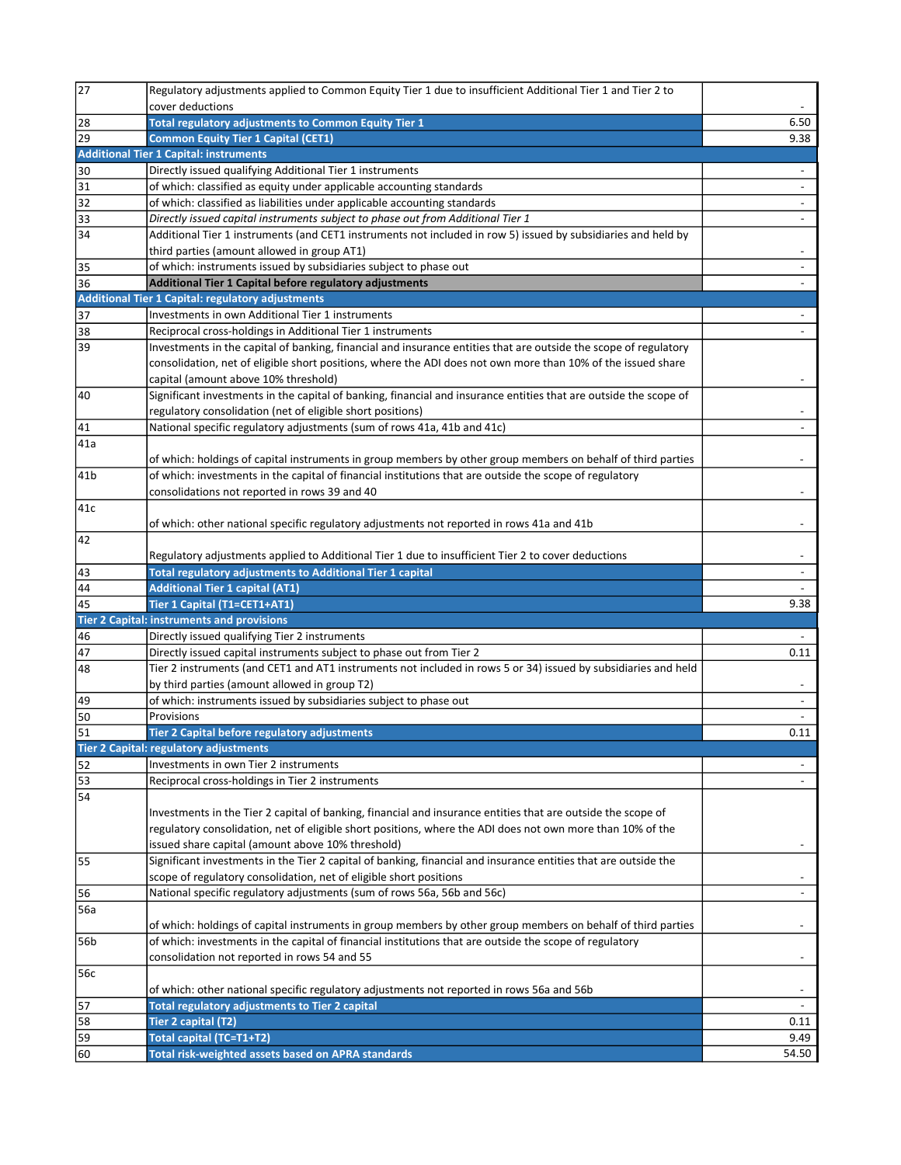| 27                    | Regulatory adjustments applied to Common Equity Tier 1 due to insufficient Additional Tier 1 and Tier 2 to                            |                          |
|-----------------------|---------------------------------------------------------------------------------------------------------------------------------------|--------------------------|
|                       | cover deductions                                                                                                                      |                          |
| 28                    | Total regulatory adjustments to Common Equity Tier 1                                                                                  | 6.50                     |
| $\sqrt{29}$           | <b>Common Equity Tier 1 Capital (CET1)</b>                                                                                            | 9.38                     |
|                       | <b>Additional Tier 1 Capital: instruments</b>                                                                                         |                          |
| 30                    | Directly issued qualifying Additional Tier 1 instruments                                                                              | $\overline{\phantom{a}}$ |
| $\overline{31}$       | of which: classified as equity under applicable accounting standards                                                                  |                          |
| $\overline{32}$       | of which: classified as liabilities under applicable accounting standards                                                             | $\overline{\phantom{a}}$ |
| 33                    | Directly issued capital instruments subject to phase out from Additional Tier 1                                                       | $\overline{\phantom{a}}$ |
| 34                    | Additional Tier 1 instruments (and CET1 instruments not included in row 5) issued by subsidiaries and held by                         |                          |
|                       | third parties (amount allowed in group AT1)                                                                                           |                          |
| 35                    | of which: instruments issued by subsidiaries subject to phase out                                                                     |                          |
| $\overline{36}$       | Additional Tier 1 Capital before regulatory adjustments                                                                               |                          |
|                       | Additional Tier 1 Capital: regulatory adjustments                                                                                     |                          |
| 37                    | Investments in own Additional Tier 1 instruments                                                                                      |                          |
| 38                    | Reciprocal cross-holdings in Additional Tier 1 instruments                                                                            |                          |
| $\sqrt{39}$           | Investments in the capital of banking, financial and insurance entities that are outside the scope of regulatory                      |                          |
|                       | consolidation, net of eligible short positions, where the ADI does not own more than 10% of the issued share                          |                          |
|                       | capital (amount above 10% threshold)                                                                                                  |                          |
| $\overline{40}$       | Significant investments in the capital of banking, financial and insurance entities that are outside the scope of                     |                          |
|                       |                                                                                                                                       |                          |
|                       | regulatory consolidation (net of eligible short positions)<br>National specific regulatory adjustments (sum of rows 41a, 41b and 41c) |                          |
| 41                    |                                                                                                                                       |                          |
| 41a                   |                                                                                                                                       |                          |
|                       | of which: holdings of capital instruments in group members by other group members on behalf of third parties                          |                          |
| 41b                   | of which: investments in the capital of financial institutions that are outside the scope of regulatory                               |                          |
|                       | consolidations not reported in rows 39 and 40                                                                                         |                          |
| $\overline{41c}$      |                                                                                                                                       |                          |
|                       | of which: other national specific regulatory adjustments not reported in rows 41a and 41b                                             |                          |
| $\overline{42}$       |                                                                                                                                       |                          |
|                       | Regulatory adjustments applied to Additional Tier 1 due to insufficient Tier 2 to cover deductions                                    |                          |
| 43                    | Total regulatory adjustments to Additional Tier 1 capital                                                                             | $\overline{\phantom{a}}$ |
| 44                    | <b>Additional Tier 1 capital (AT1)</b>                                                                                                |                          |
| $\overline{45}$       | Tier 1 Capital (T1=CET1+AT1)                                                                                                          | 9.38                     |
|                       | <b>Tier 2 Capital: instruments and provisions</b>                                                                                     |                          |
| 46                    | Directly issued qualifying Tier 2 instruments                                                                                         |                          |
|                       |                                                                                                                                       |                          |
| 47                    | Directly issued capital instruments subject to phase out from Tier 2                                                                  | 0.11                     |
| 48                    | Tier 2 instruments (and CET1 and AT1 instruments not included in rows 5 or 34) issued by subsidiaries and held                        |                          |
|                       | by third parties (amount allowed in group T2)                                                                                         |                          |
| 49                    | of which: instruments issued by subsidiaries subject to phase out                                                                     |                          |
| $\overline{50}$       | Provisions                                                                                                                            |                          |
|                       | Tier 2 Capital before regulatory adjustments                                                                                          | 0.11                     |
| $\overline{51}$       |                                                                                                                                       |                          |
|                       | <b>Tier 2 Capital: regulatory adjustments</b><br>Investments in own Tier 2 instruments                                                |                          |
| 52                    |                                                                                                                                       |                          |
| 53<br>$\overline{54}$ | Reciprocal cross-holdings in Tier 2 instruments                                                                                       |                          |
|                       |                                                                                                                                       |                          |
|                       | Investments in the Tier 2 capital of banking, financial and insurance entities that are outside the scope of                          |                          |
|                       | regulatory consolidation, net of eligible short positions, where the ADI does not own more than 10% of the                            | $\overline{\phantom{a}}$ |
|                       | issued share capital (amount above 10% threshold)                                                                                     |                          |
| 55                    | Significant investments in the Tier 2 capital of banking, financial and insurance entities that are outside the                       |                          |
|                       | scope of regulatory consolidation, net of eligible short positions                                                                    |                          |
| 56                    | National specific regulatory adjustments (sum of rows 56a, 56b and 56c)                                                               |                          |
| 56a                   |                                                                                                                                       | $\overline{\phantom{a}}$ |
|                       | of which: holdings of capital instruments in group members by other group members on behalf of third parties                          |                          |
| 56b                   | of which: investments in the capital of financial institutions that are outside the scope of regulatory                               |                          |
|                       | consolidation not reported in rows 54 and 55                                                                                          |                          |
| 56c                   |                                                                                                                                       |                          |
|                       | of which: other national specific regulatory adjustments not reported in rows 56a and 56b                                             |                          |
| 57                    | Total regulatory adjustments to Tier 2 capital                                                                                        | $\overline{\phantom{a}}$ |
| 58                    | Tier 2 capital (T2)                                                                                                                   | 0.11                     |
| 59<br>60              | Total capital (TC=T1+T2)<br>Total risk-weighted assets based on APRA standards                                                        | 9.49<br>54.50            |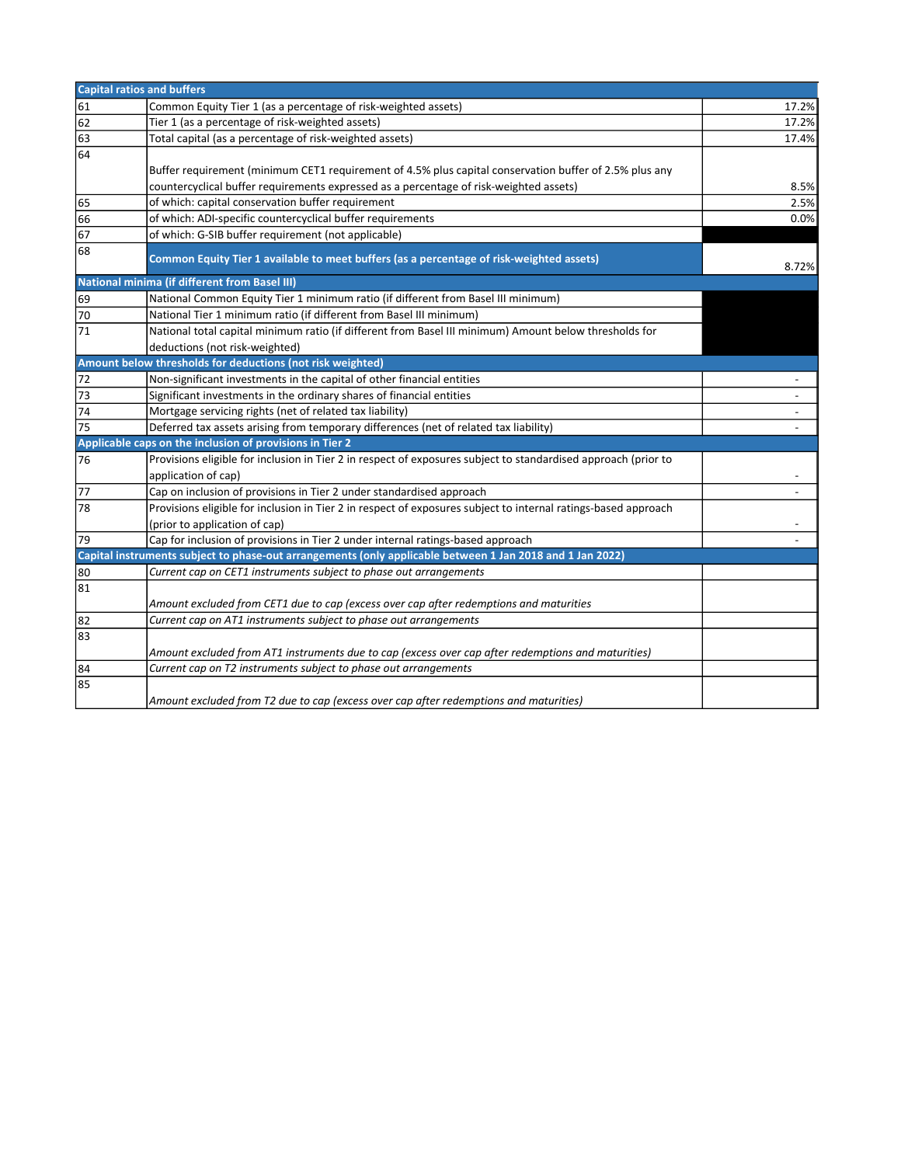| <b>Capital ratios and buffers</b> |                                                                                                                |                          |
|-----------------------------------|----------------------------------------------------------------------------------------------------------------|--------------------------|
| 61                                | Common Equity Tier 1 (as a percentage of risk-weighted assets)                                                 | 17.2%                    |
| 62                                | Tier 1 (as a percentage of risk-weighted assets)                                                               | 17.2%                    |
| 63                                | Total capital (as a percentage of risk-weighted assets)                                                        | 17.4%                    |
| 64                                |                                                                                                                |                          |
|                                   | Buffer requirement (minimum CET1 requirement of 4.5% plus capital conservation buffer of 2.5% plus any         |                          |
|                                   | countercyclical buffer requirements expressed as a percentage of risk-weighted assets)                         | 8.5%                     |
| 65                                | of which: capital conservation buffer requirement                                                              | 2.5%                     |
| 66                                | of which: ADI-specific countercyclical buffer requirements                                                     | 0.0%                     |
| $\overline{67}$                   | of which: G-SIB buffer requirement (not applicable)                                                            |                          |
| 68                                | Common Equity Tier 1 available to meet buffers (as a percentage of risk-weighted assets)                       | 8.72%                    |
|                                   | <b>National minima (if different from Basel III)</b>                                                           |                          |
| 69                                | National Common Equity Tier 1 minimum ratio (if different from Basel III minimum)                              |                          |
| 70                                | National Tier 1 minimum ratio (if different from Basel III minimum)                                            |                          |
| $\overline{71}$                   | National total capital minimum ratio (if different from Basel III minimum) Amount below thresholds for         |                          |
|                                   | deductions (not risk-weighted)                                                                                 |                          |
|                                   | Amount below thresholds for deductions (not risk weighted)                                                     |                          |
| $\overline{72}$                   | Non-significant investments in the capital of other financial entities                                         |                          |
| $\sqrt{73}$                       | Significant investments in the ordinary shares of financial entities                                           | $\overline{\phantom{a}}$ |
| 74                                | Mortgage servicing rights (net of related tax liability)                                                       |                          |
| $\overline{75}$                   | Deferred tax assets arising from temporary differences (net of related tax liability)                          |                          |
|                                   | Applicable caps on the inclusion of provisions in Tier 2                                                       |                          |
| 76                                | Provisions eligible for inclusion in Tier 2 in respect of exposures subject to standardised approach (prior to |                          |
|                                   | application of cap)                                                                                            |                          |
| $\overline{77}$                   | Cap on inclusion of provisions in Tier 2 under standardised approach                                           |                          |
| $\overline{78}$                   | Provisions eligible for inclusion in Tier 2 in respect of exposures subject to internal ratings-based approach |                          |
|                                   | (prior to application of cap)                                                                                  |                          |
| 79                                | Cap for inclusion of provisions in Tier 2 under internal ratings-based approach                                |                          |
|                                   | Capital instruments subject to phase-out arrangements (only applicable between 1 Jan 2018 and 1 Jan 2022)      |                          |
| 80                                | Current cap on CET1 instruments subject to phase out arrangements                                              |                          |
| 81                                |                                                                                                                |                          |
|                                   | Amount excluded from CET1 due to cap (excess over cap after redemptions and maturities                         |                          |
| 82                                | Current cap on AT1 instruments subject to phase out arrangements                                               |                          |
| 83                                |                                                                                                                |                          |
|                                   | Amount excluded from AT1 instruments due to cap (excess over cap after redemptions and maturities)             |                          |
| $\frac{84}{85}$                   | Current cap on T2 instruments subject to phase out arrangements                                                |                          |
|                                   |                                                                                                                |                          |
|                                   | Amount excluded from T2 due to cap (excess over cap after redemptions and maturities)                          |                          |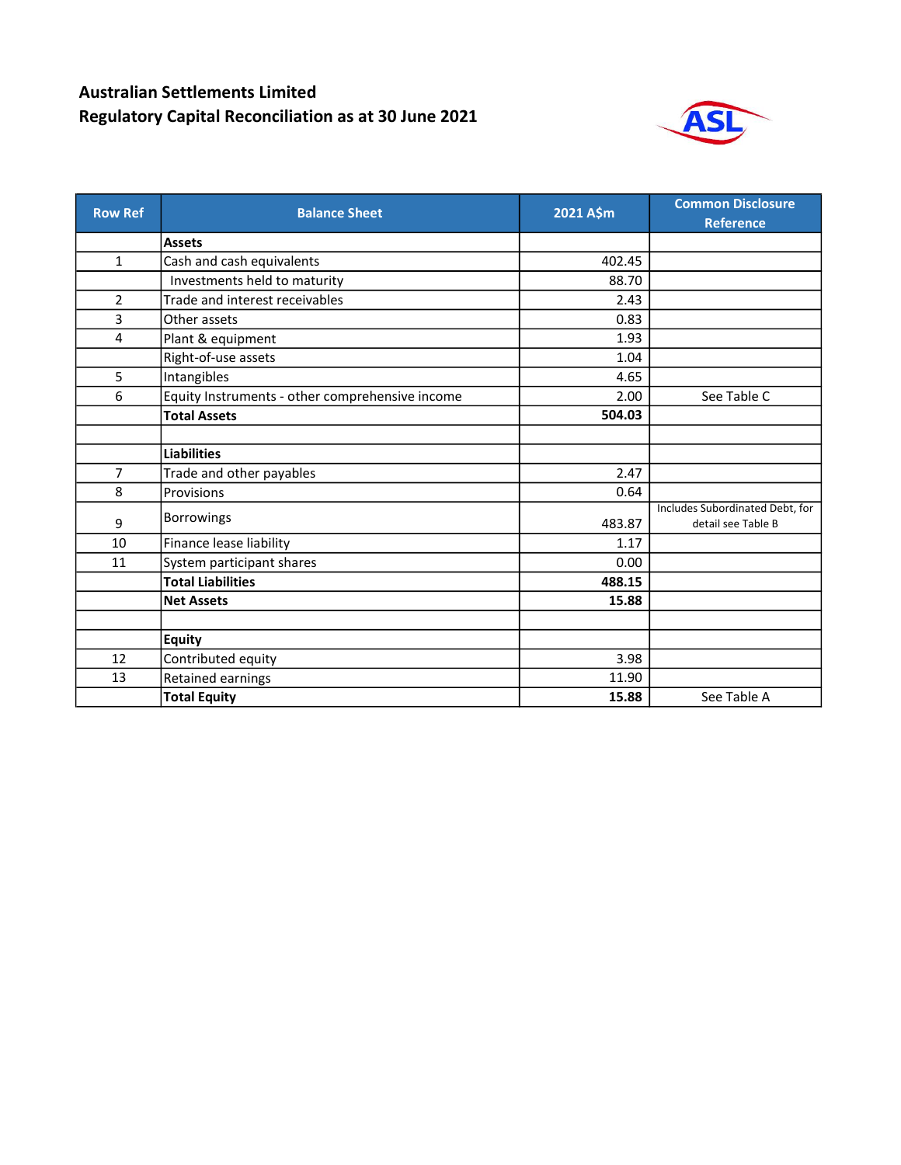## Australian Settlements Limited Regulatory Capital Reconciliation as at 30 June 2021



| <b>Row Ref</b> | <b>Balance Sheet</b>                            | 2021 A\$m | <b>Common Disclosure</b><br><b>Reference</b>          |
|----------------|-------------------------------------------------|-----------|-------------------------------------------------------|
|                | <b>Assets</b>                                   |           |                                                       |
| 1              | Cash and cash equivalents                       | 402.45    |                                                       |
|                | Investments held to maturity                    | 88.70     |                                                       |
| $\overline{2}$ | Trade and interest receivables                  | 2.43      |                                                       |
| 3              | Other assets                                    | 0.83      |                                                       |
| 4              | Plant & equipment                               | 1.93      |                                                       |
|                | Right-of-use assets                             | 1.04      |                                                       |
| 5              | Intangibles                                     | 4.65      |                                                       |
| 6              | Equity Instruments - other comprehensive income | 2.00      | See Table C                                           |
|                | <b>Total Assets</b>                             | 504.03    |                                                       |
|                |                                                 |           |                                                       |
|                | <b>Liabilities</b>                              |           |                                                       |
| $\overline{7}$ | Trade and other payables                        | 2.47      |                                                       |
| 8              | Provisions                                      | 0.64      |                                                       |
| 9              | <b>Borrowings</b>                               | 483.87    | Includes Subordinated Debt, for<br>detail see Table B |
| 10             | Finance lease liability                         | 1.17      |                                                       |
| 11             | System participant shares                       | 0.00      |                                                       |
|                | <b>Total Liabilities</b>                        | 488.15    |                                                       |
|                | <b>Net Assets</b>                               | 15.88     |                                                       |
|                |                                                 |           |                                                       |
|                | <b>Equity</b>                                   |           |                                                       |
| 12             | Contributed equity                              | 3.98      |                                                       |
| 13             | Retained earnings                               | 11.90     |                                                       |
|                | <b>Total Equity</b>                             | 15.88     | See Table A                                           |